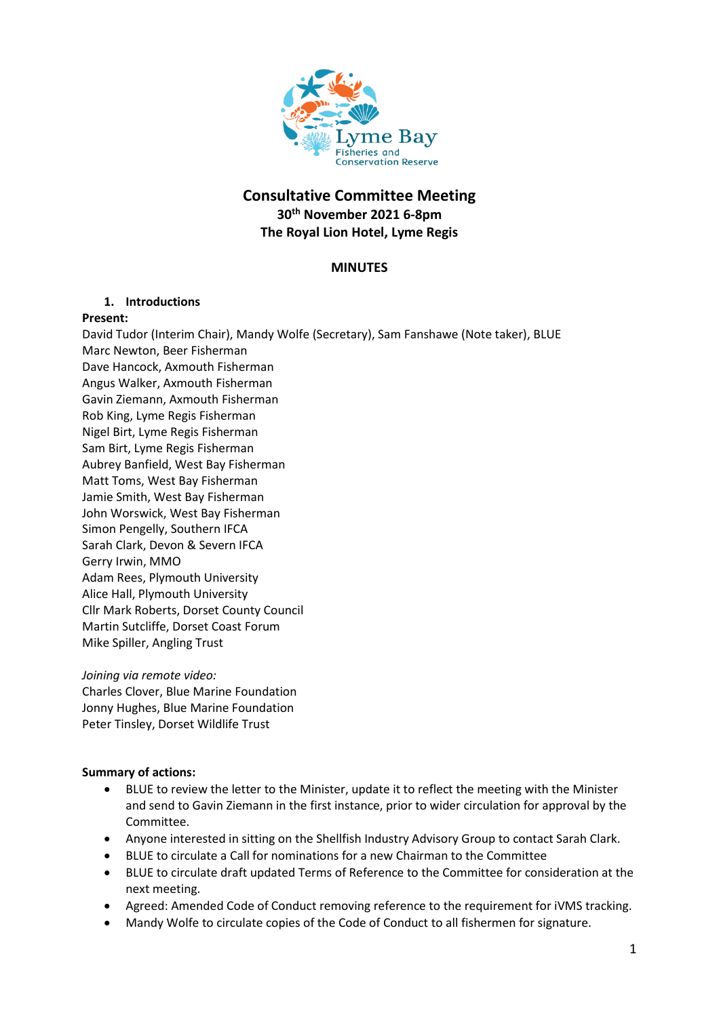

# **Consultative Committee Meeting 30th November 2021 6-8pm The Royal Lion Hotel, Lyme Regis**

# **MINUTES**

### **1. Introductions**

### **Present:**

David Tudor (Interim Chair), Mandy Wolfe (Secretary), Sam Fanshawe (Note taker), BLUE Marc Newton, Beer Fisherman Dave Hancock, Axmouth Fisherman Angus Walker, Axmouth Fisherman Gavin Ziemann, Axmouth Fisherman Rob King, Lyme Regis Fisherman Nigel Birt, Lyme Regis Fisherman Sam Birt, Lyme Regis Fisherman Aubrey Banfield, West Bay Fisherman Matt Toms, West Bay Fisherman Jamie Smith, West Bay Fisherman John Worswick, West Bay Fisherman Simon Pengelly, Southern IFCA Sarah Clark, Devon & Severn IFCA Gerry Irwin, MMO Adam Rees, Plymouth University Alice Hall, Plymouth University Cllr Mark Roberts, Dorset County Council Martin Sutcliffe, Dorset Coast Forum Mike Spiller, Angling Trust

### *Joining via remote video:*

Charles Clover, Blue Marine Foundation Jonny Hughes, Blue Marine Foundation Peter Tinsley, Dorset Wildlife Trust

## **Summary of actions:**

- BLUE to review the letter to the Minister, update it to reflect the meeting with the Minister and send to Gavin Ziemann in the first instance, prior to wider circulation for approval by the Committee.
- Anyone interested in sitting on the Shellfish Industry Advisory Group to contact Sarah Clark.
- BLUE to circulate a Call for nominations for a new Chairman to the Committee
- BLUE to circulate draft updated Terms of Reference to the Committee for consideration at the next meeting.
- Agreed: Amended Code of Conduct removing reference to the requirement for iVMS tracking.
- Mandy Wolfe to circulate copies of the Code of Conduct to all fishermen for signature.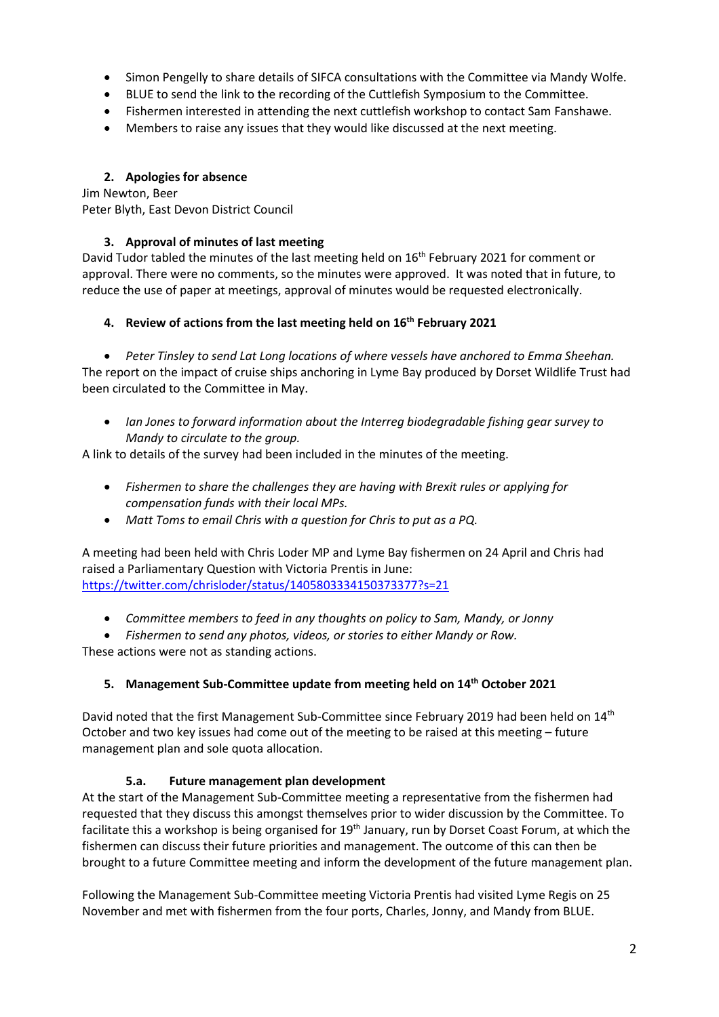- Simon Pengelly to share details of SIFCA consultations with the Committee via Mandy Wolfe.
- BLUE to send the link to the recording of the Cuttlefish Symposium to the Committee.
- Fishermen interested in attending the next cuttlefish workshop to contact Sam Fanshawe.
- Members to raise any issues that they would like discussed at the next meeting.

# **2. Apologies for absence**

Jim Newton, Beer Peter Blyth, East Devon District Council

# **3. Approval of minutes of last meeting**

David Tudor tabled the minutes of the last meeting held on 16<sup>th</sup> February 2021 for comment or approval. There were no comments, so the minutes were approved. It was noted that in future, to reduce the use of paper at meetings, approval of minutes would be requested electronically.

# **4. Review of actions from the last meeting held on 16th February 2021**

• *Peter Tinsley to send Lat Long locations of where vessels have anchored to Emma Sheehan.* The report on the impact of cruise ships anchoring in Lyme Bay produced by Dorset Wildlife Trust had been circulated to the Committee in May.

• *Ian Jones to forward information about the Interreg biodegradable fishing gear survey to Mandy to circulate to the group.*

A link to details of the survey had been included in the minutes of the meeting.

- *Fishermen to share the challenges they are having with Brexit rules or applying for compensation funds with their local MPs.*
- *Matt Toms to email Chris with a question for Chris to put as a PQ.*

A meeting had been held with Chris Loder MP and Lyme Bay fishermen on 24 April and Chris had raised a Parliamentary Question with Victoria Prentis in June: <https://twitter.com/chrisloder/status/1405803334150373377?s=21>

- *Committee members to feed in any thoughts on policy to Sam, Mandy, or Jonny*
- *Fishermen to send any photos, videos, or stories to either Mandy or Row.*

These actions were not as standing actions.

# **5. Management Sub-Committee update from meeting held on 14th October 2021**

David noted that the first Management Sub-Committee since February 2019 had been held on 14<sup>th</sup> October and two key issues had come out of the meeting to be raised at this meeting – future management plan and sole quota allocation.

## **5.a. Future management plan development**

At the start of the Management Sub-Committee meeting a representative from the fishermen had requested that they discuss this amongst themselves prior to wider discussion by the Committee. To facilitate this a workshop is being organised for 19<sup>th</sup> January, run by Dorset Coast Forum, at which the fishermen can discuss their future priorities and management. The outcome of this can then be brought to a future Committee meeting and inform the development of the future management plan.

Following the Management Sub-Committee meeting Victoria Prentis had visited Lyme Regis on 25 November and met with fishermen from the four ports, Charles, Jonny, and Mandy from BLUE.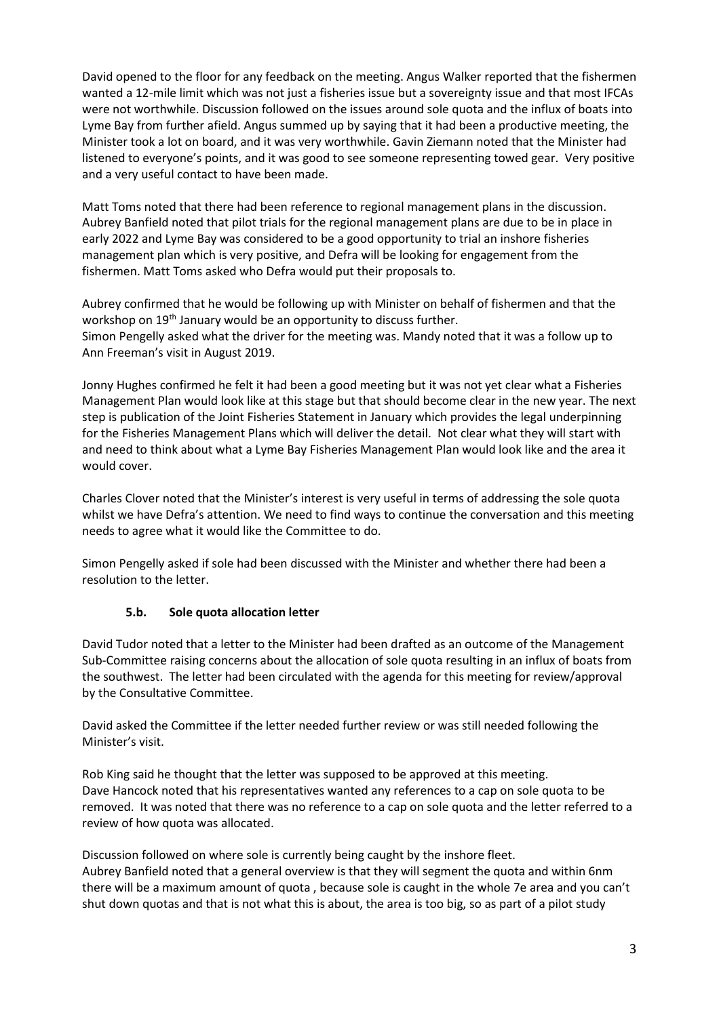David opened to the floor for any feedback on the meeting. Angus Walker reported that the fishermen wanted a 12-mile limit which was not just a fisheries issue but a sovereignty issue and that most IFCAs were not worthwhile. Discussion followed on the issues around sole quota and the influx of boats into Lyme Bay from further afield. Angus summed up by saying that it had been a productive meeting, the Minister took a lot on board, and it was very worthwhile. Gavin Ziemann noted that the Minister had listened to everyone's points, and it was good to see someone representing towed gear. Very positive and a very useful contact to have been made.

Matt Toms noted that there had been reference to regional management plans in the discussion. Aubrey Banfield noted that pilot trials for the regional management plans are due to be in place in early 2022 and Lyme Bay was considered to be a good opportunity to trial an inshore fisheries management plan which is very positive, and Defra will be looking for engagement from the fishermen. Matt Toms asked who Defra would put their proposals to.

Aubrey confirmed that he would be following up with Minister on behalf of fishermen and that the workshop on 19<sup>th</sup> January would be an opportunity to discuss further. Simon Pengelly asked what the driver for the meeting was. Mandy noted that it was a follow up to Ann Freeman's visit in August 2019.

Jonny Hughes confirmed he felt it had been a good meeting but it was not yet clear what a Fisheries Management Plan would look like at this stage but that should become clear in the new year. The next step is publication of the Joint Fisheries Statement in January which provides the legal underpinning for the Fisheries Management Plans which will deliver the detail. Not clear what they will start with and need to think about what a Lyme Bay Fisheries Management Plan would look like and the area it would cover.

Charles Clover noted that the Minister's interest is very useful in terms of addressing the sole quota whilst we have Defra's attention. We need to find ways to continue the conversation and this meeting needs to agree what it would like the Committee to do.

Simon Pengelly asked if sole had been discussed with the Minister and whether there had been a resolution to the letter.

# **5.b. Sole quota allocation letter**

David Tudor noted that a letter to the Minister had been drafted as an outcome of the Management Sub-Committee raising concerns about the allocation of sole quota resulting in an influx of boats from the southwest. The letter had been circulated with the agenda for this meeting for review/approval by the Consultative Committee.

David asked the Committee if the letter needed further review or was still needed following the Minister's visit.

Rob King said he thought that the letter was supposed to be approved at this meeting. Dave Hancock noted that his representatives wanted any references to a cap on sole quota to be removed. It was noted that there was no reference to a cap on sole quota and the letter referred to a review of how quota was allocated.

Discussion followed on where sole is currently being caught by the inshore fleet. Aubrey Banfield noted that a general overview is that they will segment the quota and within 6nm there will be a maximum amount of quota , because sole is caught in the whole 7e area and you can't shut down quotas and that is not what this is about, the area is too big, so as part of a pilot study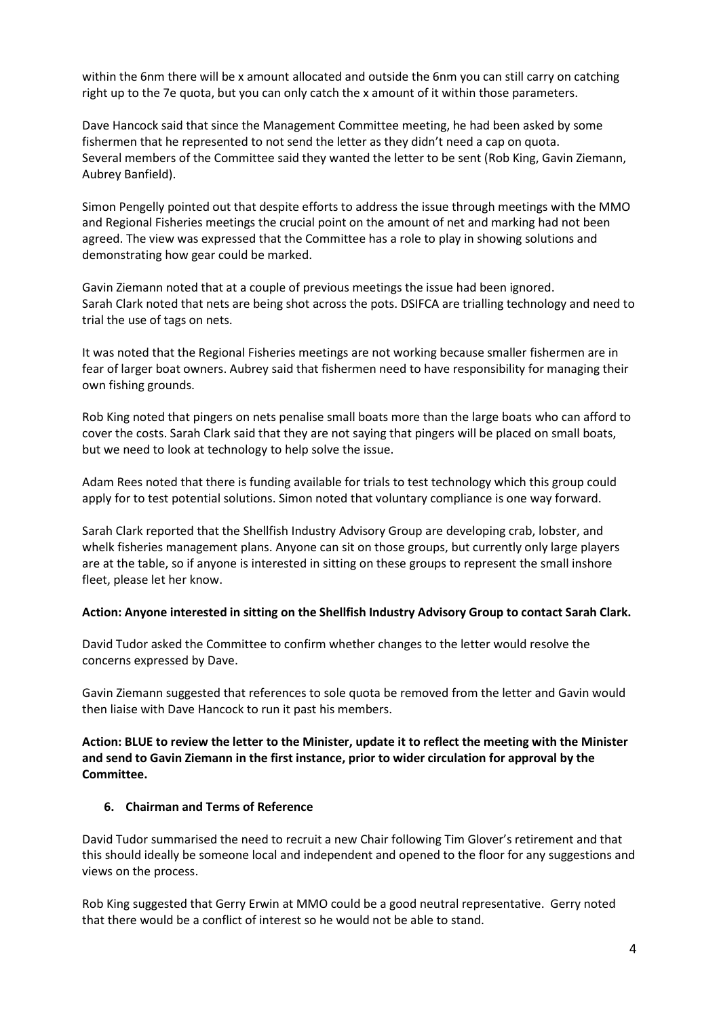within the 6nm there will be x amount allocated and outside the 6nm you can still carry on catching right up to the 7e quota, but you can only catch the x amount of it within those parameters.

Dave Hancock said that since the Management Committee meeting, he had been asked by some fishermen that he represented to not send the letter as they didn't need a cap on quota. Several members of the Committee said they wanted the letter to be sent (Rob King, Gavin Ziemann, Aubrey Banfield).

Simon Pengelly pointed out that despite efforts to address the issue through meetings with the MMO and Regional Fisheries meetings the crucial point on the amount of net and marking had not been agreed. The view was expressed that the Committee has a role to play in showing solutions and demonstrating how gear could be marked.

Gavin Ziemann noted that at a couple of previous meetings the issue had been ignored. Sarah Clark noted that nets are being shot across the pots. DSIFCA are trialling technology and need to trial the use of tags on nets.

It was noted that the Regional Fisheries meetings are not working because smaller fishermen are in fear of larger boat owners. Aubrey said that fishermen need to have responsibility for managing their own fishing grounds.

Rob King noted that pingers on nets penalise small boats more than the large boats who can afford to cover the costs. Sarah Clark said that they are not saying that pingers will be placed on small boats, but we need to look at technology to help solve the issue.

Adam Rees noted that there is funding available for trials to test technology which this group could apply for to test potential solutions. Simon noted that voluntary compliance is one way forward.

Sarah Clark reported that the Shellfish Industry Advisory Group are developing crab, lobster, and whelk fisheries management plans. Anyone can sit on those groups, but currently only large players are at the table, so if anyone is interested in sitting on these groups to represent the small inshore fleet, please let her know.

### **Action: Anyone interested in sitting on the Shellfish Industry Advisory Group to contact Sarah Clark.**

David Tudor asked the Committee to confirm whether changes to the letter would resolve the concerns expressed by Dave.

Gavin Ziemann suggested that references to sole quota be removed from the letter and Gavin would then liaise with Dave Hancock to run it past his members.

**Action: BLUE to review the letter to the Minister, update it to reflect the meeting with the Minister and send to Gavin Ziemann in the first instance, prior to wider circulation for approval by the Committee.**

### **6. Chairman and Terms of Reference**

David Tudor summarised the need to recruit a new Chair following Tim Glover's retirement and that this should ideally be someone local and independent and opened to the floor for any suggestions and views on the process.

Rob King suggested that Gerry Erwin at MMO could be a good neutral representative. Gerry noted that there would be a conflict of interest so he would not be able to stand.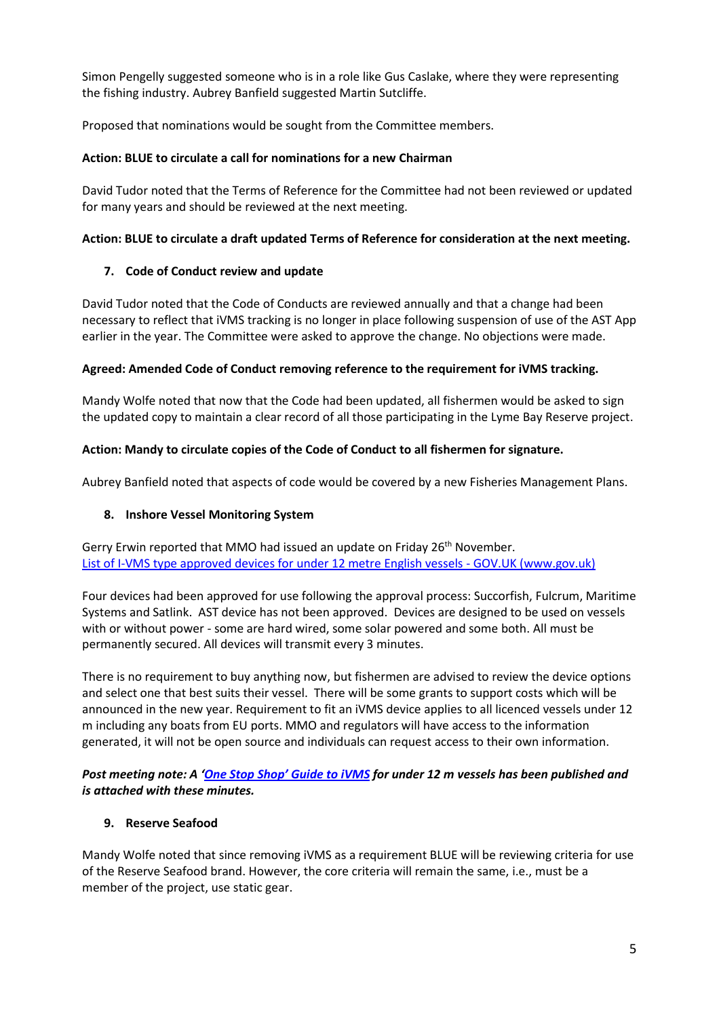Simon Pengelly suggested someone who is in a role like Gus Caslake, where they were representing the fishing industry. Aubrey Banfield suggested Martin Sutcliffe.

Proposed that nominations would be sought from the Committee members.

## **Action: BLUE to circulate a call for nominations for a new Chairman**

David Tudor noted that the Terms of Reference for the Committee had not been reviewed or updated for many years and should be reviewed at the next meeting.

# **Action: BLUE to circulate a draft updated Terms of Reference for consideration at the next meeting.**

# **7. Code of Conduct review and update**

David Tudor noted that the Code of Conducts are reviewed annually and that a change had been necessary to reflect that iVMS tracking is no longer in place following suspension of use of the AST App earlier in the year. The Committee were asked to approve the change. No objections were made.

# **Agreed: Amended Code of Conduct removing reference to the requirement for iVMS tracking.**

Mandy Wolfe noted that now that the Code had been updated, all fishermen would be asked to sign the updated copy to maintain a clear record of all those participating in the Lyme Bay Reserve project.

# **Action: Mandy to circulate copies of the Code of Conduct to all fishermen for signature.**

Aubrey Banfield noted that aspects of code would be covered by a new Fisheries Management Plans.

## **8. Inshore Vessel Monitoring System**

Gerry Erwin reported that MMO had issued an update on Friday 26<sup>th</sup> November. [List of I-VMS type approved devices for under 12 metre English vessels -](https://www.gov.uk/guidance/list-of-i-vms-type-approved-devices-for-under-12-metre-english-vessels) GOV.UK (www.gov.uk)

Four devices had been approved for use following the approval process: Succorfish, Fulcrum, Maritime Systems and Satlink. AST device has not been approved. Devices are designed to be used on vessels with or without power - some are hard wired, some solar powered and some both. All must be permanently secured. All devices will transmit every 3 minutes.

There is no requirement to buy anything now, but fishermen are advised to review the device options and select one that best suits their vessel. There will be some grants to support costs which will be announced in the new year. Requirement to fit an iVMS device applies to all licenced vessels under 12 m including any boats from EU ports. MMO and regulators will have access to the information generated, it will not be open source and individuals can request access to their own information.

# *Post meeting note: A ['One Stop Shop' Guide to iVMS](https://view.officeapps.live.com/op/view.aspx?src=https%3A%2F%2Fassets.publishing.service.gov.uk%2Fgovernment%2Fuploads%2Fsystem%2Fuploads%2Fattachment_data%2Ffile%2F1036505%2FI-VMS_one_stop_shop_261121-2.docx&wdOrigin=BROWSELINK) for under 12 m vessels has been published and is attached with these minutes.*

# **9. Reserve Seafood**

Mandy Wolfe noted that since removing iVMS as a requirement BLUE will be reviewing criteria for use of the Reserve Seafood brand. However, the core criteria will remain the same, i.e., must be a member of the project, use static gear.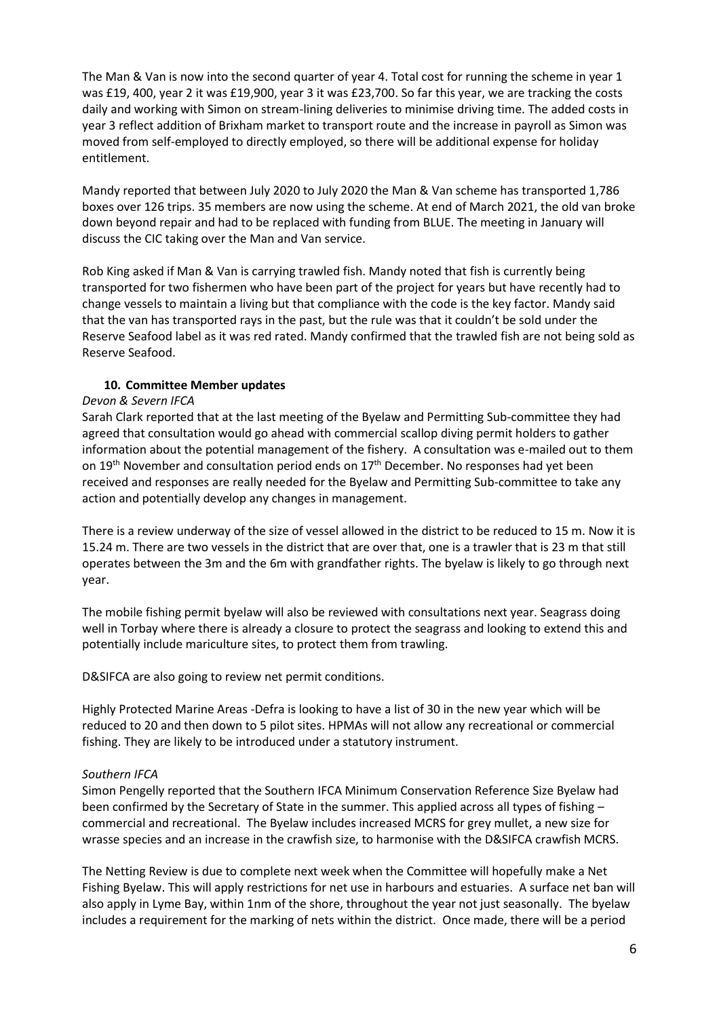The Man & Van is now into the second quarter of year 4. Total cost for running the scheme in year 1 was £19, 400, year 2 it was £19,900, year 3 it was £23,700. So far this year, we are tracking the costs daily and working with Simon on stream-lining deliveries to minimise driving time. The added costs in year 3 reflect addition of Brixham market to transport route and the increase in payroll as Simon was moved from self-employed to directly employed, so there will be additional expense for holiday entitlement.

Mandy reported that between July 2020 to July 2020 the Man & Van scheme has transported 1,786 boxes over 126 trips. 35 members are now using the scheme. At end of March 2021, the old van broke down beyond repair and had to be replaced with funding from BLUE. The meeting in January will discuss the CIC taking over the Man and Van service.

Rob King asked if Man & Van is carrying trawled fish. Mandy noted that fish is currently being transported for two fishermen who have been part of the project for years but have recently had to change vessels to maintain a living but that compliance with the code is the key factor. Mandy said that the van has transported rays in the past, but the rule was that it couldn't be sold under the Reserve Seafood label as it was red rated. Mandy confirmed that the trawled fish are not being sold as Reserve Seafood.

### **10. Committee Member updates**

### *Devon & Severn IFCA*

Sarah Clark reported that at the last meeting of the Byelaw and Permitting Sub-committee they had agreed that consultation would go ahead with commercial scallop diving permit holders to gather information about the potential management of the fishery. A consultation was e-mailed out to them on  $19^{th}$  November and consultation period ends on  $17^{th}$  December. No responses had yet been received and responses are really needed for the Byelaw and Permitting Sub-committee to take any action and potentially develop any changes in management.

There is a review underway of the size of vessel allowed in the district to be reduced to 15 m. Now it is 15.24 m. There are two vessels in the district that are over that, one is a trawler that is 23 m that still operates between the 3m and the 6m with grandfather rights. The byelaw is likely to go through next year.

The mobile fishing permit byelaw will also be reviewed with consultations next year. Seagrass doing well in Torbay where there is already a closure to protect the seagrass and looking to extend this and potentially include mariculture sites, to protect them from trawling.

D&SIFCA are also going to review net permit conditions.

Highly Protected Marine Areas -Defra is looking to have a list of 30 in the new year which will be reduced to 20 and then down to 5 pilot sites. HPMAs will not allow any recreational or commercial fishing. They are likely to be introduced under a statutory instrument.

### *Southern IFCA*

Simon Pengelly reported that the Southern IFCA Minimum Conservation Reference Size Byelaw had been confirmed by the Secretary of State in the summer. This applied across all types of fishing – commercial and recreational. The Byelaw includes increased MCRS for grey mullet, a new size for wrasse species and an increase in the crawfish size, to harmonise with the D&SIFCA crawfish MCRS.

The Netting Review is due to complete next week when the Committee will hopefully make a Net Fishing Byelaw. This will apply restrictions for net use in harbours and estuaries. A surface net ban will also apply in Lyme Bay, within 1nm of the shore, throughout the year not just seasonally. The byelaw includes a requirement for the marking of nets within the district. Once made, there will be a period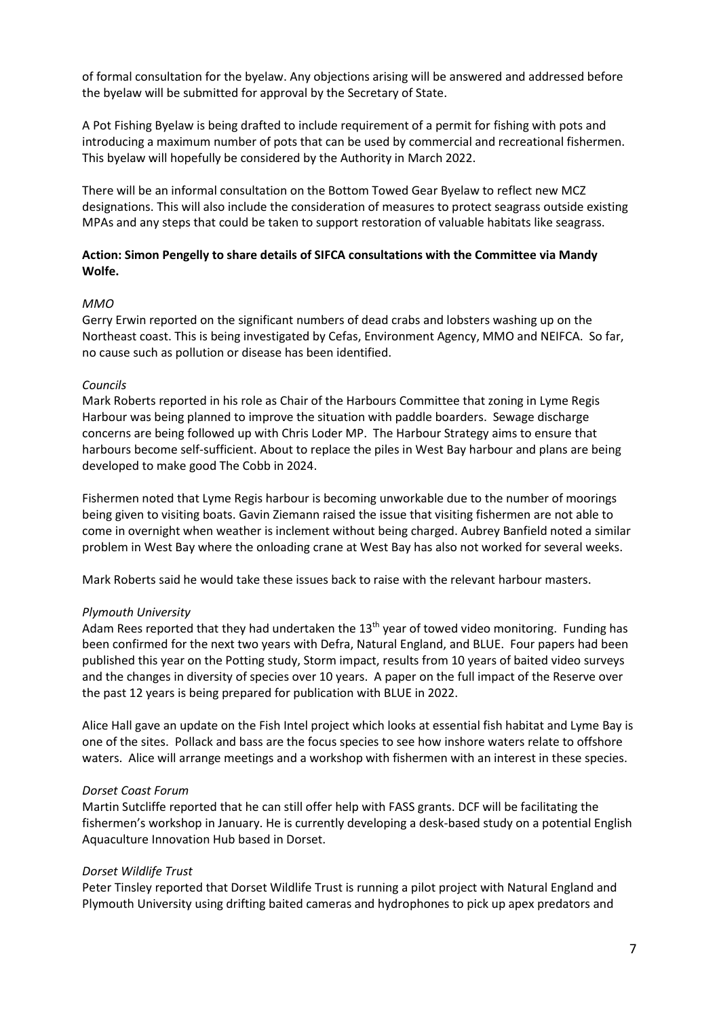of formal consultation for the byelaw. Any objections arising will be answered and addressed before the byelaw will be submitted for approval by the Secretary of State.

A Pot Fishing Byelaw is being drafted to include requirement of a permit for fishing with pots and introducing a maximum number of pots that can be used by commercial and recreational fishermen. This byelaw will hopefully be considered by the Authority in March 2022.

There will be an informal consultation on the Bottom Towed Gear Byelaw to reflect new MCZ designations. This will also include the consideration of measures to protect seagrass outside existing MPAs and any steps that could be taken to support restoration of valuable habitats like seagrass.

### **Action: Simon Pengelly to share details of SIFCA consultations with the Committee via Mandy Wolfe.**

### *MMO*

Gerry Erwin reported on the significant numbers of dead crabs and lobsters washing up on the Northeast coast. This is being investigated by Cefas, Environment Agency, MMO and NEIFCA. So far, no cause such as pollution or disease has been identified.

### *Councils*

Mark Roberts reported in his role as Chair of the Harbours Committee that zoning in Lyme Regis Harbour was being planned to improve the situation with paddle boarders. Sewage discharge concerns are being followed up with Chris Loder MP. The Harbour Strategy aims to ensure that harbours become self-sufficient. About to replace the piles in West Bay harbour and plans are being developed to make good The Cobb in 2024.

Fishermen noted that Lyme Regis harbour is becoming unworkable due to the number of moorings being given to visiting boats. Gavin Ziemann raised the issue that visiting fishermen are not able to come in overnight when weather is inclement without being charged. Aubrey Banfield noted a similar problem in West Bay where the onloading crane at West Bay has also not worked for several weeks.

Mark Roberts said he would take these issues back to raise with the relevant harbour masters.

## *Plymouth University*

Adam Rees reported that they had undertaken the 13<sup>th</sup> year of towed video monitoring. Funding has been confirmed for the next two years with Defra, Natural England, and BLUE. Four papers had been published this year on the Potting study, Storm impact, results from 10 years of baited video surveys and the changes in diversity of species over 10 years. A paper on the full impact of the Reserve over the past 12 years is being prepared for publication with BLUE in 2022.

Alice Hall gave an update on the Fish Intel project which looks at essential fish habitat and Lyme Bay is one of the sites. Pollack and bass are the focus species to see how inshore waters relate to offshore waters. Alice will arrange meetings and a workshop with fishermen with an interest in these species.

### *Dorset Coast Forum*

Martin Sutcliffe reported that he can still offer help with FASS grants. DCF will be facilitating the fishermen's workshop in January. He is currently developing a desk-based study on a potential English Aquaculture Innovation Hub based in Dorset.

## *Dorset Wildlife Trust*

Peter Tinsley reported that Dorset Wildlife Trust is running a pilot project with Natural England and Plymouth University using drifting baited cameras and hydrophones to pick up apex predators and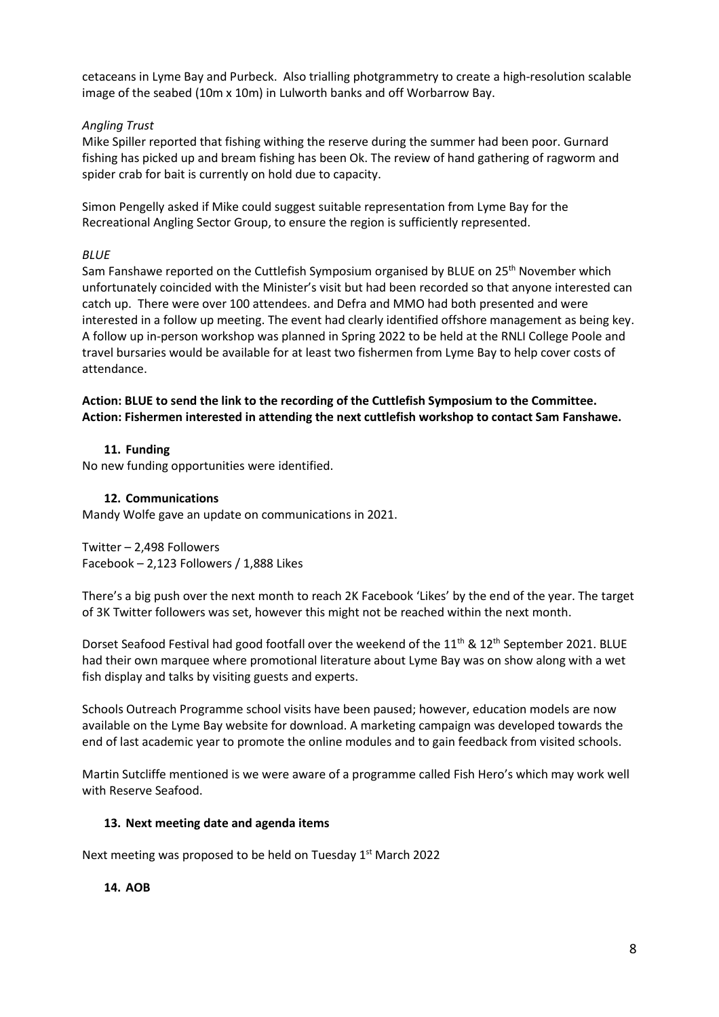cetaceans in Lyme Bay and Purbeck. Also trialling photgrammetry to create a high-resolution scalable image of the seabed (10m x 10m) in Lulworth banks and off Worbarrow Bay.

## *Angling Trust*

Mike Spiller reported that fishing withing the reserve during the summer had been poor. Gurnard fishing has picked up and bream fishing has been Ok. The review of hand gathering of ragworm and spider crab for bait is currently on hold due to capacity.

Simon Pengelly asked if Mike could suggest suitable representation from Lyme Bay for the Recreational Angling Sector Group, to ensure the region is sufficiently represented.

## *BLUE*

Sam Fanshawe reported on the Cuttlefish Symposium organised by BLUE on 25<sup>th</sup> November which unfortunately coincided with the Minister's visit but had been recorded so that anyone interested can catch up. There were over 100 attendees. and Defra and MMO had both presented and were interested in a follow up meeting. The event had clearly identified offshore management as being key. A follow up in-person workshop was planned in Spring 2022 to be held at the RNLI College Poole and travel bursaries would be available for at least two fishermen from Lyme Bay to help cover costs of attendance.

**Action: BLUE to send the link to the recording of the Cuttlefish Symposium to the Committee. Action: Fishermen interested in attending the next cuttlefish workshop to contact Sam Fanshawe.**

## **11. Funding**

No new funding opportunities were identified.

## **12. Communications**

Mandy Wolfe gave an update on communications in 2021.

Twitter – 2,498 Followers Facebook – 2,123 Followers / 1,888 Likes

There's a big push over the next month to reach 2K Facebook 'Likes' by the end of the year. The target of 3K Twitter followers was set, however this might not be reached within the next month.

Dorset Seafood Festival had good footfall over the weekend of the 11<sup>th</sup> & 12<sup>th</sup> September 2021. BLUE had their own marquee where promotional literature about Lyme Bay was on show along with a wet fish display and talks by visiting guests and experts.

Schools Outreach Programme school visits have been paused; however, education models are now available on the Lyme Bay website for download. A marketing campaign was developed towards the end of last academic year to promote the online modules and to gain feedback from visited schools.

Martin Sutcliffe mentioned is we were aware of a programme called Fish Hero's which may work well with Reserve Seafood.

## **13. Next meeting date and agenda items**

Next meeting was proposed to be held on Tuesday 1<sup>st</sup> March 2022

## **14. AOB**